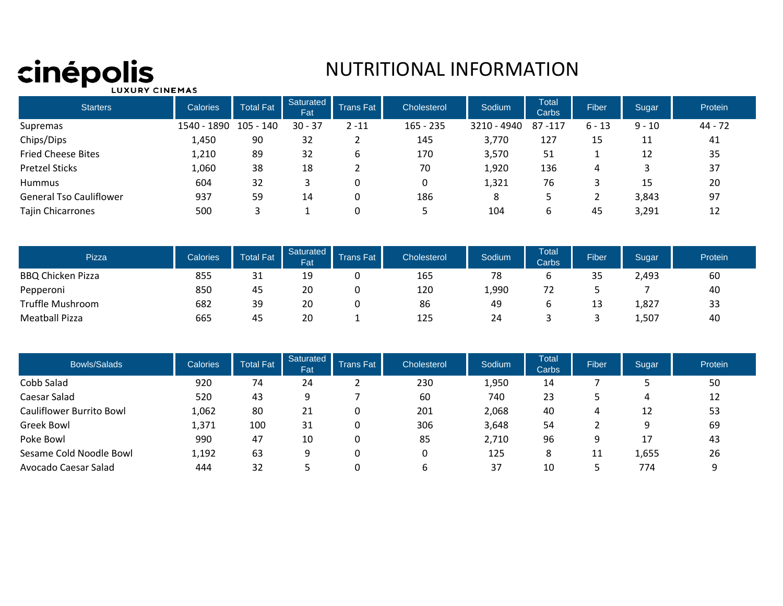# Cinépolis

## NUTRITIONAL INFORMATION

| <b>Starters</b>                | <b>Calories</b> | <b>Total Fat</b> | Saturated<br>Fat | <b>Trans Fat</b> | Cholesterol | Sodium      | <b>Total</b><br>Carbs | <b>Fiber</b> | Sugar    | Protein |
|--------------------------------|-----------------|------------------|------------------|------------------|-------------|-------------|-----------------------|--------------|----------|---------|
| Supremas                       | 1540 - 1890     | 105 - 140        | $30 - 37$        | $2 - 11$         | $165 - 235$ | 3210 - 4940 | 87-117                | $6 - 13$     | $9 - 10$ | 44 - 72 |
| Chips/Dips                     | 1,450           | 90               | 32               | -                | 145         | 3,770       | 127                   | 15           | 11       | 41      |
| <b>Fried Cheese Bites</b>      | 1,210           | 89               | 32               | ь                | 170         | 3,570       | 51                    |              | 12       | 35      |
| <b>Pretzel Sticks</b>          | 1,060           | 38               | 18               |                  | 70          | 1,920       | 136                   | 4            |          | 37      |
| <b>Hummus</b>                  | 604             | 32               |                  | 0                |             | 1,321       | 76                    |              | 15       | 20      |
| <b>General Tso Cauliflower</b> | 937             | 59               | 14               | U                | 186         | 8           |                       |              | 3,843    | 97      |
| <b>Tajin Chicarrones</b>       | 500             |                  |                  | υ                |             | 104         | ь                     | 45           | 3,291    | 12      |

| <b>Pizza</b>             | Calories | <b>Total Fat</b> | <b>Fat</b> | Saturated Trans Fat | Cholesterol | Sodium | <b>Total</b><br>Carbs | <b>Fiber</b> | Sugar | Protein |
|--------------------------|----------|------------------|------------|---------------------|-------------|--------|-----------------------|--------------|-------|---------|
| <b>BBQ Chicken Pizza</b> | 855      | 31               | 10<br>ᅩ    |                     | 165         | 78     |                       | 35           | 2,493 | 60      |
| Pepperoni                | 850      | 45               | 20         |                     | 120         | 1,990  | 72                    |              |       | 40      |
| Truffle Mushroom         | 682      | 39               | 20         |                     | 86          | 49     |                       | 13           | 1,827 | 33      |
| <b>Meatball Pizza</b>    | 665      | 45               | 20         |                     | 125         | 24     |                       |              | 1,507 | 40      |

| <b>Bowls/Salads</b>      | <b>Calories</b> | <b>Total Fat</b> | Saturated<br>Fat | <b>Trans Fat</b> | Cholesterol | Sodium | <b>Total</b><br>Carbs | Fiber | Sugar | Protein |
|--------------------------|-----------------|------------------|------------------|------------------|-------------|--------|-----------------------|-------|-------|---------|
| Cobb Salad               | 920             | 74               | 24               |                  | 230         | 1,950  | 14                    |       |       | 50      |
| Caesar Salad             | 520             | 43               | 9                |                  | 60          | 740    | 23                    |       | 4     | 12      |
| Cauliflower Burrito Bowl | 1,062           | 80               | 21               | 0                | 201         | 2,068  | 40                    | 4     | 12    | 53      |
| <b>Greek Bowl</b>        | 1,371           | 100              | 31               | 0                | 306         | 3,648  | 54                    |       | 9     | 69      |
| Poke Bowl                | 990             | 47               | 10               | 0                | 85          | 2,710  | 96                    | 9     | 17    | 43      |
| Sesame Cold Noodle Bowl  | 1,192           | 63               | 9                | 0                |             | 125    | 8                     | 11    | 1,655 | 26      |
| Avocado Caesar Salad     | 444             | 32               |                  |                  |             | 37     | 10                    |       | 774   |         |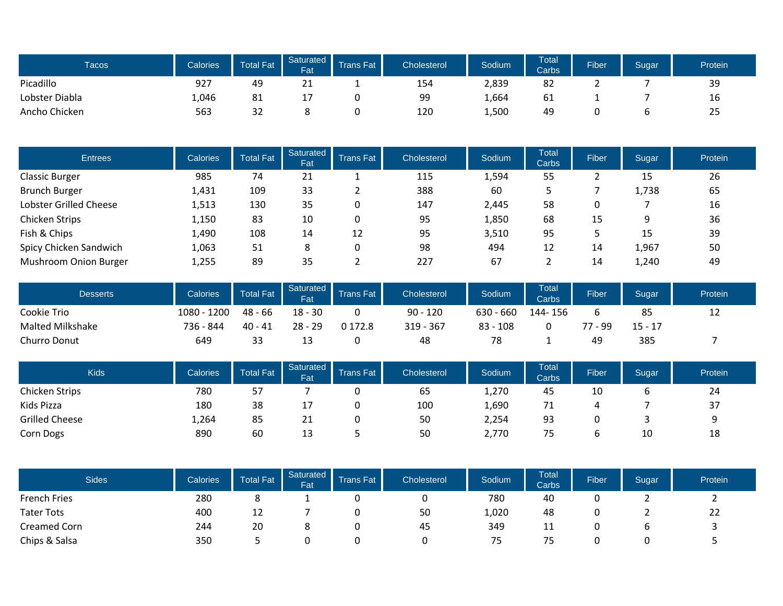| <b>Tacos</b>   | Calories | Total Fat | Saturated<br><b>Fat</b> | Trans Fat | Cholesterol | Sodium | <b>Total</b><br><b>Carbs</b> | <b>Fiber</b> | Sugar | Protein |
|----------------|----------|-----------|-------------------------|-----------|-------------|--------|------------------------------|--------------|-------|---------|
| Picadillo      | 927      | 49        | 41                      |           | 154         | 2,839  | 82                           |              |       | 39      |
| Lobster Diabla | 1,046    | 81        | - 1                     |           | 99          | 1,664  | 61                           |              |       | 16      |
| Ancho Chicken  | 563      | 32        |                         |           | 120         | 1,500  | 49                           |              |       | 25      |

| <b>Entrees</b>         | <b>Calories</b> | <b>Total Fat</b> | <b>Saturated</b><br>Fat | <b>Trans Fat</b> | Cholesterol | Sodium | <b>Total</b><br>Carbs | <b>Fiber</b> | Sugar | Protein |
|------------------------|-----------------|------------------|-------------------------|------------------|-------------|--------|-----------------------|--------------|-------|---------|
| <b>Classic Burger</b>  | 985             | 74               | 21                      |                  | 115         | 1,594  | 55                    |              | 15    | 26      |
| <b>Brunch Burger</b>   | 1,431           | 109              | 33                      |                  | 388         | 60     |                       |              | 1,738 | 65      |
| Lobster Grilled Cheese | 1,513           | 130              | 35                      | 0                | 147         | 2.445  | 58                    | 0            |       | 16      |
| Chicken Strips         | 1,150           | 83               | 10                      | 0                | 95          | 1,850  | 68                    | 15           | 9     | 36      |
| Fish & Chips           | 1,490           | 108              | 14                      | 12               | 95          | 3,510  | 95                    |              | 15    | 39      |
| Spicy Chicken Sandwich | 1,063           | 51               | 8                       | 0                | 98          | 494    | 12                    | 14           | 1,967 | 50      |
| Mushroom Onion Burger  | 1,255           | 89               | 35                      |                  | 227         | 67     |                       | 14           | 1,240 | 49      |

| <b>Desserts</b>  | Calories    | <b>Total Fat</b> | <b>Fat</b> | Saturated Trans Fat | Cholesterol | Sodium      | <b>Total</b><br><b>Carbs</b> | <b>Fiber</b> | Sugar     | Protein |
|------------------|-------------|------------------|------------|---------------------|-------------|-------------|------------------------------|--------------|-----------|---------|
| Cookie Trio      | 1080 - 1200 | $48 - 66$        | $18 - 30$  |                     | $90 - 120$  | $630 - 660$ | 144-156                      |              | 85        | ᅩᄼ      |
| Malted Milkshake | 736 - 844   | $40 - 41$        | $28 - 29$  | 0 172.8             | $319 - 367$ | $83 - 108$  |                              | 77 - 99      | $15 - 17$ |         |
| Churro Donut     | 649         | 33               | 13         |                     | 48          | 78          |                              | 49           | 385       |         |

| <b>Kids</b>           | Calories | Total Fat | <b>Fat</b> | Saturated Trans Fat | <b>Cholesterol</b> | Sodium | <b>Total</b><br><b>Carbs</b> | <b>Fiber</b> | Sugar | Protein |
|-----------------------|----------|-----------|------------|---------------------|--------------------|--------|------------------------------|--------------|-------|---------|
| Chicken Strips        | 780      | 57        |            |                     | ხ5                 | 1,270  | 45                           | 10           |       | 24      |
| Kids Pizza            | 180      | 38        | <b>+</b>   |                     | 100                | 1,690  | 71                           |              |       | 37      |
| <b>Grilled Cheese</b> | 1,264    | 85        | 21         |                     | 50                 | 2,254  | 93                           |              |       |         |
| Corn Dogs             | 890      | 60        | 13         |                     | 50                 | 2,770  | 75                           | υ            | 10    | 18      |

| <b>Sides</b>        | Calories | Total Fat | Saturated  <br>Fat | <b>Trans Fat</b> | Cholesterol | Sodium | <b>Total</b><br>Carbs | <b>Fiber</b> | Sugar | Protein |
|---------------------|----------|-----------|--------------------|------------------|-------------|--------|-----------------------|--------------|-------|---------|
| <b>French Fries</b> | 280      | 8         |                    |                  |             | 780    | 40                    |              |       |         |
| <b>Tater Tots</b>   | 400      | 12        |                    |                  | 50          | 1,020  | 48                    |              |       | 22      |
| Creamed Corn        | 244      | 20        |                    |                  | 45          | 349    | 11                    | ີ            |       |         |
| Chips & Salsa       | 350      |           |                    |                  |             | 75     | 79.                   |              |       |         |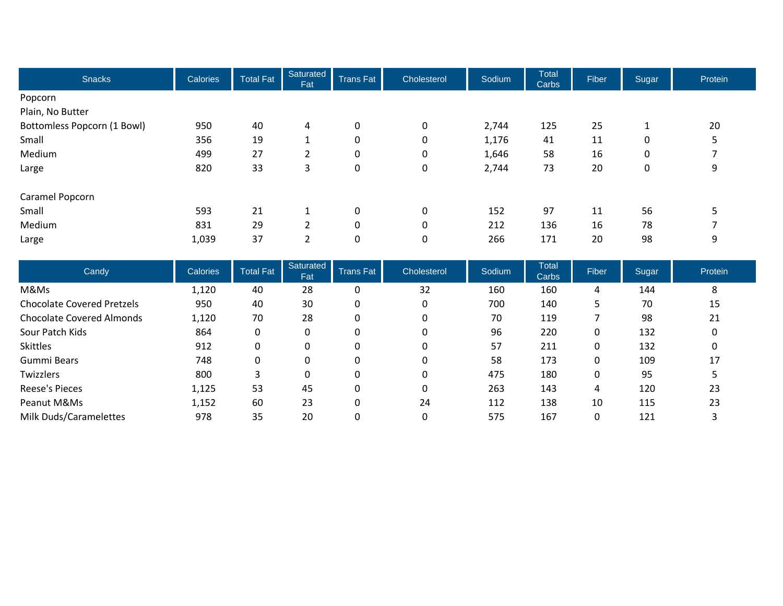| <b>Snacks</b>               | Calories | <b>Total Fat</b> | Saturated<br>Fat | <b>Trans Fat</b> | Cholesterol | Sodium | <b>Total</b><br>Carbs | Fiber | Sugar | Protein |
|-----------------------------|----------|------------------|------------------|------------------|-------------|--------|-----------------------|-------|-------|---------|
| Popcorn                     |          |                  |                  |                  |             |        |                       |       |       |         |
| Plain, No Butter            |          |                  |                  |                  |             |        |                       |       |       |         |
| Bottomless Popcorn (1 Bowl) | 950      | 40               | 4                | $\pmb{0}$        | 0           | 2,744  | 125                   | 25    |       | 20      |
| Small                       | 356      | 19               | 1                | 0                | 0           | 1,176  | 41                    | 11    | 0     | 5       |
| Medium                      | 499      | 27               | 2                | 0                | 0           | 1,646  | 58                    | 16    | 0     |         |
| Large                       | 820      | 33               | 3                | 0                | 0           | 2,744  | 73                    | 20    | 0     | 9       |
| Caramel Popcorn             |          |                  |                  |                  |             |        |                       |       |       |         |
| Small                       | 593      | 21               | 1                | $\pmb{0}$        | 0           | 152    | 97                    | 11    | 56    | 5       |
| Medium                      | 831      | 29               | 2                | 0                | 0           | 212    | 136                   | 16    | 78    |         |
| Large                       | 1,039    | 37               | 2                | 0                | 0           | 266    | 171                   | 20    | 98    | 9       |

| Candy                             | Calories | Total Fat | Saturated<br>Fat | <b>Trans Fat</b> | Cholesterol | Sodium | <b>Total</b><br>Carbs | <b>Fiber</b> | Sugar | Protein |
|-----------------------------------|----------|-----------|------------------|------------------|-------------|--------|-----------------------|--------------|-------|---------|
| M&Ms                              | 1,120    | 40        | 28               | 0                | 32          | 160    | 160                   | 4            | 144   | 8       |
| <b>Chocolate Covered Pretzels</b> | 950      | 40        | 30               | 0                | 0           | 700    | 140                   | 5            | 70    | 15      |
| <b>Chocolate Covered Almonds</b>  | 1,120    | 70        | 28               | 0                | 0           | 70     | 119                   |              | 98    | 21      |
| Sour Patch Kids                   | 864      | 0         | 0                | 0                | 0           | 96     | 220                   | 0            | 132   | 0       |
| <b>Skittles</b>                   | 912      | 0         | 0                | 0                | 0           | 57     | 211                   | 0            | 132   | 0       |
| Gummi Bears                       | 748      | 0         | 0                |                  | 0           | 58     | 173                   | 0            | 109   | 17      |
| Twizzlers                         | 800      |           | 0                | 0                | 0           | 475    | 180                   | 0            | 95    |         |
| Reese's Pieces                    | 1,125    | 53        | 45               | 0                | 0           | 263    | 143                   | 4            | 120   | 23      |
| Peanut M&Ms                       | 1,152    | 60        | 23               | 0                | 24          | 112    | 138                   | 10           | 115   | 23      |
| Milk Duds/Caramelettes            | 978      | 35        | 20               |                  | 0           | 575    | 167                   | 0            | 121   |         |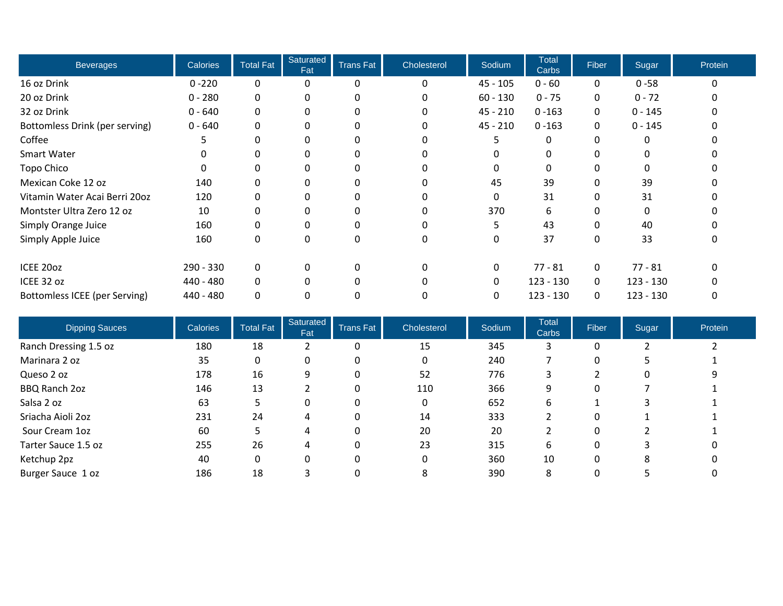| <b>Beverages</b>                     | <b>Calories</b> | <b>Total Fat</b> | Saturated<br>Fat | <b>Trans Fat</b> | Cholesterol  | Sodium     | <b>Total</b><br>Carbs | Fiber        | Sugar       | Protein  |
|--------------------------------------|-----------------|------------------|------------------|------------------|--------------|------------|-----------------------|--------------|-------------|----------|
| 16 oz Drink                          | $0 - 220$       | 0                | 0                | 0                | 0            | $45 - 105$ | $0 - 60$              | $\mathbf{0}$ | $0 - 58$    | $\Omega$ |
| 20 oz Drink                          | $0 - 280$       | 0                | 0                |                  | 0            | $60 - 130$ | $0 - 75$              | 0            | $0 - 72$    |          |
| 32 oz Drink                          | $0 - 640$       | 0                | 0                |                  |              | $45 - 210$ | $0 - 163$             | 0            | $0 - 145$   |          |
| Bottomless Drink (per serving)       | $0 - 640$       | 0                | 0                | 0                | 0            | $45 - 210$ | $0 - 163$             | 0            | $0 - 145$   |          |
| Coffee                               |                 | 0                | 0                | 0                |              | 5          |                       | 0            |             |          |
| Smart Water                          |                 | 0                | 0                | 0                |              | 0          |                       | 0            |             |          |
| Topo Chico                           |                 | 0                | 0                | 0                |              | $\Omega$   |                       |              |             |          |
| Mexican Coke 12 oz                   | 140             | 0                | 0                | 0                |              | 45         | 39                    | 0            | 39          |          |
| Vitamin Water Acai Berri 20oz        | 120             |                  | 0                | 0                |              | 0          | 31                    | 0            | 31          |          |
| Montster Ultra Zero 12 oz            | 10              | 0                | 0                | 0                | 0            | 370        | 6                     | 0            | $\Omega$    |          |
| Simply Orange Juice                  | 160             | 0                | $\Omega$         | 0                |              |            | 43                    | <sup>0</sup> | 40          |          |
| Simply Apple Juice                   | 160             | 0                | 0                | 0                | 0            | 0          | 37                    | 0            | 33          | 0        |
| ICEE 20oz                            | 290 - 330       | 0                | 0                | 0                | 0            | 0          | $77 - 81$             | 0            | $77 - 81$   | $\Omega$ |
| ICEE 32 oz                           | 440 - 480       | 0                | $\Omega$         | 0                | <sup>0</sup> | 0          | $123 - 130$           | $\mathbf 0$  | $123 - 130$ | n        |
| <b>Bottomless ICEE (per Serving)</b> | 440 - 480       | 0                | 0                | 0                |              | 0          | $123 - 130$           | $\Omega$     | $123 - 130$ | 0        |

| <b>Dipping Sauces</b> | <b>Calories</b> | <b>Total Fat</b> | Saturated<br>Fat | <b>Trans Fat</b> | <b>Cholesterol</b> | Sodium | <b>Total</b><br>Carbs | Fiber | Sugar | Protein |
|-----------------------|-----------------|------------------|------------------|------------------|--------------------|--------|-----------------------|-------|-------|---------|
| Ranch Dressing 1.5 oz | 180             | 18               |                  | 0                | 15                 | 345    |                       | 0     |       |         |
| Marinara 2 oz         | 35              | 0                | 0                | 0                |                    | 240    |                       | 0     |       |         |
| Queso 2 oz            | 178             | 16               | 9                | 0                | 52                 | 776    | 3                     |       | 0     |         |
| BBQ Ranch 2oz         | 146             | 13               |                  | 0                | 110                | 366    | 9                     | 0     |       |         |
| Salsa 2 oz            | 63              |                  | 0                | 0                | 0                  | 652    | 6                     |       | 3     |         |
| Sriacha Aioli 2oz     | 231             | 24               | 4                | 0                | 14                 | 333    |                       | 0     |       |         |
| Sour Cream 1oz        | 60              |                  | 4                | 0                | 20                 | 20     |                       | 0     |       |         |
| Tarter Sauce 1.5 oz   | 255             | 26               | 4                | 0                | 23                 | 315    | 6                     | 0     | 3     |         |
| Ketchup 2pz           | 40              | 0                | 0                | 0                |                    | 360    | 10                    | 0     | 8     |         |
| Burger Sauce 1 oz     | 186             | 18               |                  | 0                | 8                  | 390    | 8                     | 0     |       |         |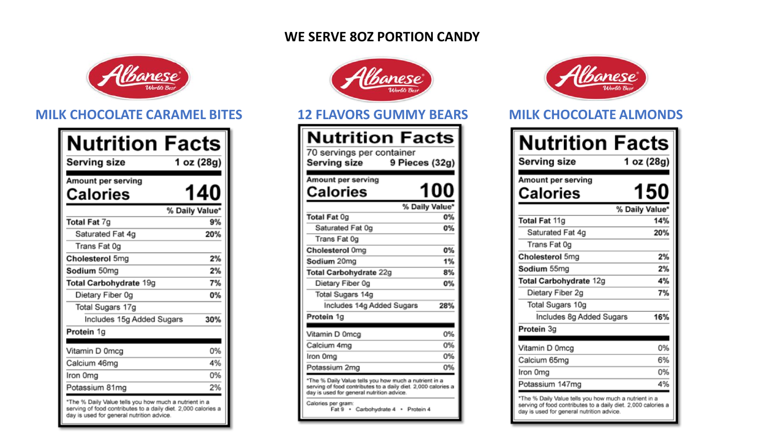### **WE SERVE 8OZ PORTION CANDY**



### **MILK CHOCOLATE CARAMEL BITES 12 FLAVORS GUMMY BEARS MILK CHOCOLATE ALMONDS**

| Nutrition Facts<br>Serving size                                                                                                                                     | 1 oz (28g)     |
|---------------------------------------------------------------------------------------------------------------------------------------------------------------------|----------------|
|                                                                                                                                                                     |                |
| Amount per serving                                                                                                                                                  |                |
| Calories                                                                                                                                                            | 140            |
|                                                                                                                                                                     | % Daily Value* |
| Total Fat 7g                                                                                                                                                        | 9%             |
| Saturated Fat 4g                                                                                                                                                    | 20%            |
| Trans Fat 0g                                                                                                                                                        |                |
| Cholesterol 5mg                                                                                                                                                     | 2%             |
| Sodium 50mg                                                                                                                                                         | 2%             |
| Total Carbohydrate 19g                                                                                                                                              | 7%             |
| Dietary Fiber 0g                                                                                                                                                    | 0%             |
| Total Sugars 17g                                                                                                                                                    |                |
| Includes 15g Added Sugars                                                                                                                                           | 30%            |
| Protein 1g                                                                                                                                                          |                |
|                                                                                                                                                                     |                |
| Vitamin D 0mcg                                                                                                                                                      | 0%             |
| Calcium 46mg                                                                                                                                                        | 4%             |
| Iron 0mg                                                                                                                                                            | 0%             |
| Potassium 81mg                                                                                                                                                      | 2%             |
| *The % Daily Value tells you how much a nutrient in a<br>serving of food contributes to a daily diet. 2,000 calories a<br>day is used for general nutrition advice. |                |



| Nutrition Facts<br>70 servings per container<br>9 Pieces (32g)<br>Serving size                                                                                      |     |
|---------------------------------------------------------------------------------------------------------------------------------------------------------------------|-----|
| Amount per serving<br>Calories                                                                                                                                      | 100 |
| % Daily Value*                                                                                                                                                      |     |
| <b>Total Fat Og</b>                                                                                                                                                 | 0%  |
| Saturated Fat Og                                                                                                                                                    | 0%  |
| Trans Fat 0g                                                                                                                                                        |     |
| Cholesterol 0mg                                                                                                                                                     | 0%  |
| Sodium 20mg                                                                                                                                                         | 1%  |
| Total Carbohydrate 22g                                                                                                                                              | 8%  |
| Dietary Fiber 0g                                                                                                                                                    | 0%  |
| Total Sugars 14g                                                                                                                                                    |     |
| Includes 14g Added Sugars                                                                                                                                           | 28% |
| Protein 1g                                                                                                                                                          |     |
|                                                                                                                                                                     |     |
| Vitamin D 0mcg                                                                                                                                                      | 0%  |
| Calcium 4mg                                                                                                                                                         | 0%  |
| Iron 0mg                                                                                                                                                            | 0%  |
| Potassium 2mg                                                                                                                                                       | 0%  |
| *The % Daily Value tells you how much a nutrient in a<br>serving of food contributes to a daily diet. 2,000 calories a<br>day is used for general nutrition advice. |     |
| Calories per gram:<br>Fat 9 · Carbohydrate 4<br>· Pratein 4                                                                                                         |     |



| <b>Nutrition Facts</b><br>Serving size                                                                                                                              | 1 oz (28g)     |
|---------------------------------------------------------------------------------------------------------------------------------------------------------------------|----------------|
| Amount per serving<br>Calories                                                                                                                                      | 150            |
|                                                                                                                                                                     | % Daily Value* |
| Total Fat 11g                                                                                                                                                       | 14%            |
| Saturated Fat 4g                                                                                                                                                    | 20%            |
| Trans Fat 0g                                                                                                                                                        |                |
| Cholesterol 5mg                                                                                                                                                     | 2%             |
| Sodium 55mg                                                                                                                                                         | 2%             |
| Total Carbohydrate 12g                                                                                                                                              | 4%             |
| Dietary Fiber 2g                                                                                                                                                    | 7%             |
| Total Sugars 10g                                                                                                                                                    |                |
| Includes 8g Added Sugars                                                                                                                                            | 16%            |
| Protein 3g                                                                                                                                                          |                |
|                                                                                                                                                                     |                |
| Vitamin D 0mcg                                                                                                                                                      | 0%             |
| Calcium 65mg                                                                                                                                                        | 6%             |
| Iron 0mg                                                                                                                                                            | 0%             |
| Potassium 147mg                                                                                                                                                     | 4%             |
| *The % Daily Value tells you how much a nutrient in a<br>serving of food contributes to a daily diet. 2,000 calories a<br>day is used for general nutrition advice. |                |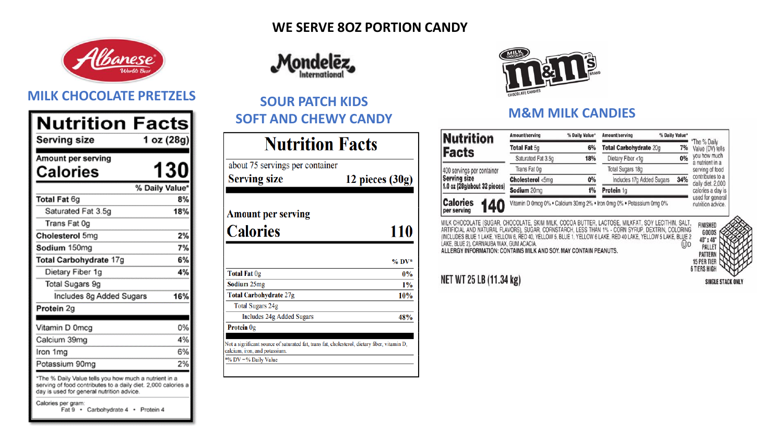

### **MILK CHOCOLATE PRETZELS SOUR PATCH KIDS**

| Nutrition<br>Serving size                             | Facts<br>1 oz (28g) |
|-------------------------------------------------------|---------------------|
| Amount per serving                                    |                     |
| Calories                                              | <b>130</b>          |
|                                                       | % Daily Value*      |
| Total Fat 6g                                          | 8%                  |
| Saturated Fat 3.5g                                    | 18%                 |
| Trans Fat 0g                                          |                     |
| Cholesterol 5mg                                       | 2%                  |
| Sodium 150mg                                          | 7%                  |
| Total Carbohydrate 17g                                | 6%                  |
| Dietary Fiber 1g                                      | 4%                  |
| <b>Total Sugars 9g</b>                                |                     |
| Includes 8g Added Sugars                              | 16%                 |
| Protein 2g                                            |                     |
|                                                       |                     |
| Vitamin D 0mcg                                        | 0%                  |
| Calcium 39mg                                          | 4%                  |
| Iron 1mg                                              | 6%                  |
| Potassium 90mg                                        | 2%                  |
| *The % Daily Value tells you how much a nutrient in a |                     |

serving of food contributes to a daily diet. 2,000 calories a day is used for general nutrition advice.

Calories per gram: Fat 9 · Carbohydrate 4 · Protein 4

### **WE SERVE 8OZ PORTION CANDY**



# **SOFT AND CHEWY CANDY M&M MILK CANDIES**

| <b>Nutrition Facts</b>                                                                                                       |                 |  |  |
|------------------------------------------------------------------------------------------------------------------------------|-----------------|--|--|
| about 75 servings per container                                                                                              |                 |  |  |
| <b>Serving size</b>                                                                                                          | 12 pieces (30g) |  |  |
| <b>Amount per serving</b>                                                                                                    |                 |  |  |
| <b>Calories</b>                                                                                                              | 110             |  |  |
|                                                                                                                              |                 |  |  |
|                                                                                                                              | $\%$ DV*        |  |  |
| <b>Total Fat Og</b>                                                                                                          | $0\%$           |  |  |
| <b>Sodium</b> 25mg                                                                                                           | 1%              |  |  |
| <b>Total Carbohydrate 27g</b>                                                                                                | <b>10%</b>      |  |  |
| <b>Total Sugars 24g</b>                                                                                                      |                 |  |  |
| Includes 24g Added Sugars                                                                                                    | 48%             |  |  |
| Protein 0g                                                                                                                   |                 |  |  |
| Not a significant source of saturated fat, trans fat, cholesterol, dietary fiber, vitamin D,<br>alcium, iron, and potassium. |                 |  |  |
| % DV = % Daily Value                                                                                                         |                 |  |  |



| <b>Nutrition</b>           |     | Amount/serving     | % Daily Value* | Amount/serving                                                       | % Daily Value* |                                       |
|----------------------------|-----|--------------------|----------------|----------------------------------------------------------------------|----------------|---------------------------------------|
|                            |     | Total Fat 5g       | 6%             | Total Carbohydrate 20g                                               | 7%             | *The % Daily<br>Value (DV) tells      |
| acts <sup>:</sup>          |     | Saturated Fat 3.5g | 18%            | Dietary Fiber <1g                                                    | 0%             | you how much<br>a nutrient in a       |
| 00 servings per container  |     | Trans Fat 0g       |                | <b>Total Sugars 18g</b>                                              |                | serving of food                       |
| erving size                |     | Cholesterol <5mg   | 0%             | Includes 17g Added Sugars                                            | 34%            | contributes to a<br>daily diet. 2,000 |
| 0 oz (28g/about 32 pieces) |     | Sodium 20mg        | 1%             | Protein 1g                                                           |                | calories a day is                     |
| alories<br>er serving      | 140 |                    |                | Vitamin D 0mcg 0% . Calcium 30mg 2% . Iron 0mg 0% . Potassium 0mg 0% |                | used for general<br>nutrition advice. |

MILK CHOCOLATE (SUGAR, CHOCOLATE, SKIM MILK, COCOA BUTTER, LACTOSE, MILKFAT, SOY LECITHIN, SALT,<br>ARTIFICIAL AND NATURAL FLAVORS), SUGAR, CORNSTARCH, LESS THAN 1% - CORN SYRUP, DEXTRIN, COLORING<br>(INCLUDES BLUE 1 LAKE, YELLO LAKE, BLUE 2), CARNAUBA WAX, GUM ACACIA  $^{\textcircled{\tiny{1}}\textcircled{\tiny{1}}}$ ALLERGY INFORMATION: CONTAINS MILK AND SOY. MAY CONTAIN PEANUTS.



### NET WT 25 LB (11.34 kg)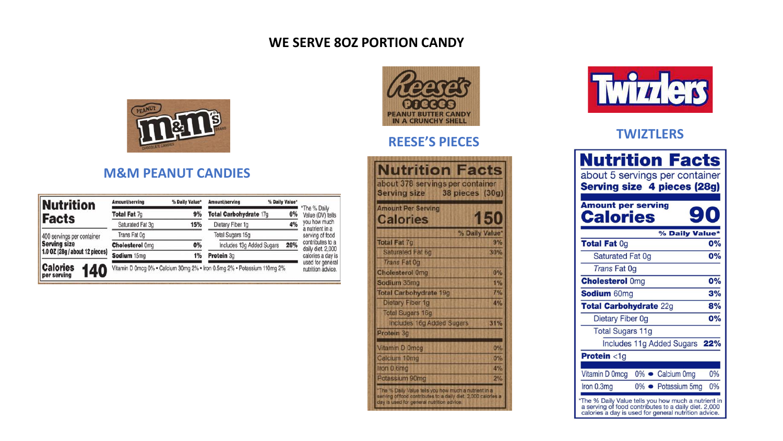### **WE SERVE 8OZ PORTION CANDY**



### **M&M PEANUT CANDIES**

| <b>Nutrition</b>                      | Amount/serving         | % Daily Value* | Amount/serving                                                           | % Daily Value* |                                       |
|---------------------------------------|------------------------|----------------|--------------------------------------------------------------------------|----------------|---------------------------------------|
| Facts                                 | Total Fat 7g           | 9%             | Total Carbohydrate 17g                                                   | 6%             | The % Daily<br>Value (DV) tells       |
|                                       | Saturated Fat 3q       | 15%            | Dietary Fiber 1q                                                         | 4%             | you how much<br>a nutrient in a       |
| 400 servings per container            | Trans Fat Og           |                | <b>Total Sugars 15g</b>                                                  |                | serving of food                       |
| <b>Serving size</b>                   | <b>Cholesterol Oma</b> | 0%             | Includes 13g Added Sugars                                                | 26%            | contributes to a<br>daily diet. 2,000 |
| 1.0 OZ (28g / about 12 pieces)        | Sodium 15mg            | 1%             | Protein 3g                                                               |                | calories a day is                     |
| <b>Calories</b><br>140<br>per serving |                        |                | Vitamin D 0mcg 0% . Calcium 30mg 2% . Iron 0.5mg 2% . Potassium 110mg 2% |                | used for genera<br>nutrition advice.  |



# **REESE'S PIECES TWIZTLERS**

| <b>Nutrition Facts</b><br>about 378 servings per container                                                                                                          |                        |
|---------------------------------------------------------------------------------------------------------------------------------------------------------------------|------------------------|
| <b>Serving size</b><br><b>Amount Per Serving</b><br><b>Calories</b>                                                                                                 | 38 pieces (30g)<br>150 |
|                                                                                                                                                                     | % Daily Value*         |
| <b>Total Fat 7g</b>                                                                                                                                                 | 9%                     |
| <b>Saturated Fat 6g</b>                                                                                                                                             | 30%                    |
| <b>Trans Fat Og</b>                                                                                                                                                 |                        |
| <b>Cholesterol Omg</b>                                                                                                                                              | 0%                     |
| Sodium 35mg                                                                                                                                                         | 1%                     |
| <b>Total Carbohydrate 19g</b>                                                                                                                                       | 7%                     |
| Dietary Fiber 1g                                                                                                                                                    | 4%                     |
| <b>Total Sugars 16g</b>                                                                                                                                             |                        |
| <b>Includes 16g Added Sugars</b>                                                                                                                                    | 31%                    |
| Protein 3g                                                                                                                                                          |                        |
| Vitamin D Omcg                                                                                                                                                      | 0%                     |
| Calcium 10mg                                                                                                                                                        | 0%                     |
| Iron 0.6mg                                                                                                                                                          | 4%                     |
| Potassium 90mg                                                                                                                                                      | 2%                     |
| 'The % Daily Value tells you how much a nutrient in a<br>serving of food contributes to a daily diet. 2,000 calories a<br>day is used for general nutrition advice. |                        |



| <b>Nutrition Facts</b><br>about 5 servings per container<br><b>Serving size 4 pieces (28g)</b><br><b>Amount per serving</b><br><b>Calories</b>                      |                    |                |     |
|---------------------------------------------------------------------------------------------------------------------------------------------------------------------|--------------------|----------------|-----|
|                                                                                                                                                                     |                    | % Daily Value* |     |
| <b>Total Fat Og</b>                                                                                                                                                 |                    |                | 0%  |
| <b>Saturated Fat 0g</b>                                                                                                                                             |                    |                | 0%  |
| <b>Trans Fat Og</b>                                                                                                                                                 |                    |                |     |
| <b>Cholesterol Omg</b>                                                                                                                                              |                    |                | 0%  |
| <b>Sodium 60mg</b>                                                                                                                                                  |                    |                | 3%  |
| <b>Total Carbohydrate 22g</b>                                                                                                                                       |                    |                | 8%  |
| Dietary Fiber 0g                                                                                                                                                    |                    |                | 0%  |
| <b>Total Sugars 11g</b>                                                                                                                                             |                    |                |     |
| Includes 11g Added Sugars                                                                                                                                           |                    |                | 22% |
| Protein <1g                                                                                                                                                         |                    |                |     |
|                                                                                                                                                                     |                    |                |     |
| Vitamin D 0mcg                                                                                                                                                      | 0% Calcium 0mg     |                | 0%  |
| Iron 0.3mg                                                                                                                                                          | 0% • Potassium 5mg |                | 0%  |
| *The % Daily Value tells you how much a nutrient in<br>a serving of food contributes to a daily diet. 2,000<br>calories a day is used for general nutrition advice. |                    |                |     |